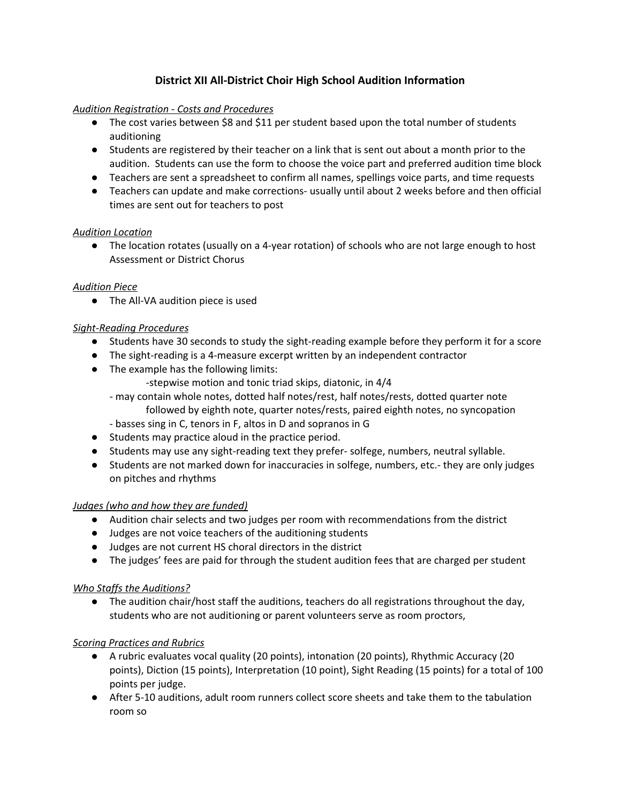# **District XII All-District Choir High School Audition Information**

### *Audition Registration - Costs and Procedures*

- The cost varies between \$8 and \$11 per student based upon the total number of students auditioning
- Students are registered by their teacher on a link that is sent out about a month prior to the audition. Students can use the form to choose the voice part and preferred audition time block
- Teachers are sent a spreadsheet to confirm all names, spellings voice parts, and time requests
- Teachers can update and make corrections- usually until about 2 weeks before and then official times are sent out for teachers to post

# *Audition Location*

● The location rotates (usually on a 4-year rotation) of schools who are not large enough to host Assessment or District Chorus

### *Audition Piece*

● The All-VA audition piece is used

### *Sight-Reading Procedures*

- Students have 30 seconds to study the sight-reading example before they perform it for a score
- The sight-reading is a 4-measure excerpt written by an independent contractor
- The example has the following limits:
	- -stepwise motion and tonic triad skips, diatonic, in 4/4
	- may contain whole notes, dotted half notes/rest, half notes/rests, dotted quarter note followed by eighth note, quarter notes/rests, paired eighth notes, no syncopation
	- basses sing in C, tenors in F, altos in D and sopranos in G
- Students may practice aloud in the practice period.
- Students may use any sight-reading text they prefer- solfege, numbers, neutral syllable.
- Students are not marked down for inaccuracies in solfege, numbers, etc.- they are only judges on pitches and rhythms

#### *Judges (who and how they are funded)*

- Audition chair selects and two judges per room with recommendations from the district
- Judges are not voice teachers of the auditioning students
- Judges are not current HS choral directors in the district
- The judges' fees are paid for through the student audition fees that are charged per student

#### *Who Staffs the Auditions?*

● The audition chair/host staff the auditions, teachers do all registrations throughout the day, students who are not auditioning or parent volunteers serve as room proctors,

#### *Scoring Practices and Rubrics*

- A rubric evaluates vocal quality (20 points), intonation (20 points), Rhythmic Accuracy (20 points), Diction (15 points), Interpretation (10 point), Sight Reading (15 points) for a total of 100 points per judge.
- After 5-10 auditions, adult room runners collect score sheets and take them to the tabulation room so